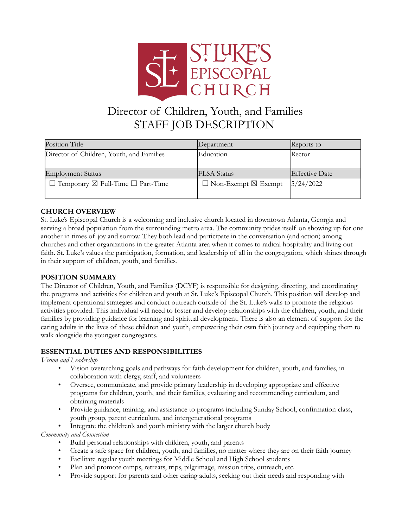

# Director of Children, Youth, and Families STAFF JOB DESCRIPTION

| Position Title                                          | Department                           | Reports to            |
|---------------------------------------------------------|--------------------------------------|-----------------------|
| Director of Children, Youth, and Families               | Education                            | Rector                |
|                                                         |                                      |                       |
| Employment Status                                       | <b>FLSA</b> Status                   | <b>Effective Date</b> |
| $\Box$ Temporary $\boxtimes$ Full-Time $\Box$ Part-Time | $\Box$ Non-Exempt $\boxtimes$ Exempt | 5/24/2022             |
|                                                         |                                      |                       |

## **CHURCH OVERVIEW**

St. Luke's Episcopal Church is a welcoming and inclusive church located in downtown Atlanta, Georgia and serving a broad population from the surrounding metro area. The community prides itself on showing up for one another in times of joy and sorrow. They both lead and participate in the conversation (and action) among churches and other organizations in the greater Atlanta area when it comes to radical hospitality and living out faith. St. Luke's values the participation, formation, and leadership of all in the congregation, which shines through in their support of children, youth, and families.

## **POSITION SUMMARY**

The Director of Children, Youth, and Families (DCYF) is responsible for designing, directing, and coordinating the programs and activities for children and youth at St. Luke's Episcopal Church. This position will develop and implement operational strategies and conduct outreach outside of the St. Luke's walls to promote the religious activities provided. This individual will need to foster and develop relationships with the children, youth, and their families by providing guidance for learning and spiritual development. There is also an element of support for the caring adults in the lives of these children and youth, empowering their own faith journey and equipping them to walk alongside the youngest congregants.

## **ESSENTIAL DUTIES AND RESPONSIBILITIES**

#### *Vision and Leadership*

- Vision overarching goals and pathways for faith development for children, youth, and families, in collaboration with clergy, staff, and volunteers
- Oversee, communicate, and provide primary leadership in developing appropriate and effective programs for children, youth, and their families, evaluating and recommending curriculum, and obtaining materials
- Provide guidance, training, and assistance to programs including Sunday School, confirmation class, youth group, parent curriculum, and intergenerational programs
- Integrate the children's and youth ministry with the larger church body

#### *Community and Connection*

- Build personal relationships with children, youth, and parents
- Create a safe space for children, youth, and families, no matter where they are on their faith journey
- Facilitate regular youth meetings for Middle School and High School students
- Plan and promote camps, retreats, trips, pilgrimage, mission trips, outreach, etc.
- Provide support for parents and other caring adults, seeking out their needs and responding with